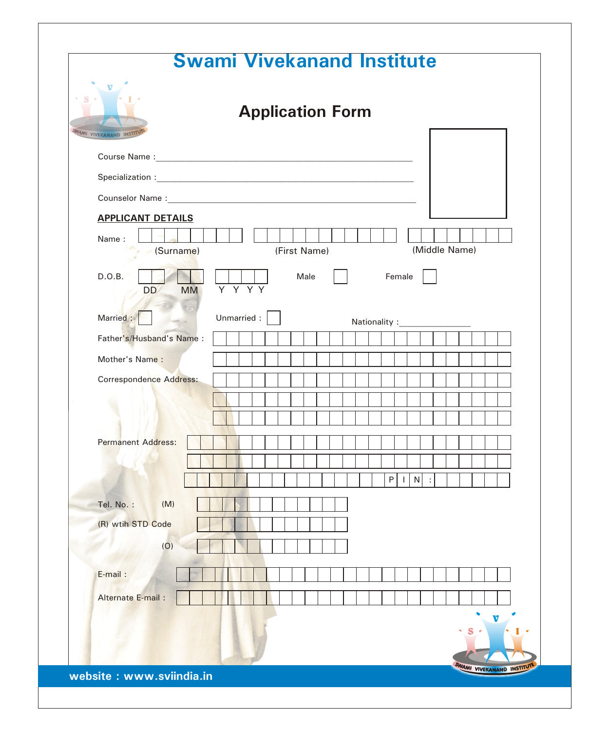| <b>Swami Vivekanand Institute</b>                       |                                                                                                                                                                                                                                |  |  |  |  |  |  |
|---------------------------------------------------------|--------------------------------------------------------------------------------------------------------------------------------------------------------------------------------------------------------------------------------|--|--|--|--|--|--|
| <b>Application Form</b><br><b>SWAMI VIVEKANAND INS'</b> |                                                                                                                                                                                                                                |  |  |  |  |  |  |
|                                                         |                                                                                                                                                                                                                                |  |  |  |  |  |  |
|                                                         |                                                                                                                                                                                                                                |  |  |  |  |  |  |
|                                                         |                                                                                                                                                                                                                                |  |  |  |  |  |  |
| <b>APPLICANT DETAILS</b>                                |                                                                                                                                                                                                                                |  |  |  |  |  |  |
| Name:<br>(First Name)<br>(Surname)                      | (Middle Name)                                                                                                                                                                                                                  |  |  |  |  |  |  |
| D.O.B.<br>Male<br>Y Y Y Y<br><b>MM</b><br>DD            | Female                                                                                                                                                                                                                         |  |  |  |  |  |  |
| Unmarried:<br>Married:                                  | Nationality: \\square\\sqrt{\sqrt{\sqrt{\sqrt{\sqrt{\sqrt{\sqrt{\sqrt{\sqrt{\sqrt{\sqrt{\sqrt{\sqrt{\sqrt{\sqrt{\sqrt{\sqrt{\sqrt{\sqrt{\sqrt{\sqrt{\sqrt{\sqrt{\sqrt{\sqrt{\sqrt{\sqrt{\sqrt{\sqrt{\sqrt{\sqrt{\sqrt{\sqrt{\s |  |  |  |  |  |  |
| Father's/Husband's Name:                                |                                                                                                                                                                                                                                |  |  |  |  |  |  |
| Mother's Name:                                          |                                                                                                                                                                                                                                |  |  |  |  |  |  |
| <b>Correspondence Address:</b>                          |                                                                                                                                                                                                                                |  |  |  |  |  |  |
|                                                         |                                                                                                                                                                                                                                |  |  |  |  |  |  |
|                                                         |                                                                                                                                                                                                                                |  |  |  |  |  |  |
| Permanent Address:                                      |                                                                                                                                                                                                                                |  |  |  |  |  |  |
|                                                         |                                                                                                                                                                                                                                |  |  |  |  |  |  |
|                                                         | $\mathsf{P}$<br>N                                                                                                                                                                                                              |  |  |  |  |  |  |
| Tel. No.:<br>(M)                                        |                                                                                                                                                                                                                                |  |  |  |  |  |  |
| (R) wtih STD Code                                       |                                                                                                                                                                                                                                |  |  |  |  |  |  |
| (O)                                                     |                                                                                                                                                                                                                                |  |  |  |  |  |  |
| E-mail:                                                 |                                                                                                                                                                                                                                |  |  |  |  |  |  |
| Alternate E-mail:                                       |                                                                                                                                                                                                                                |  |  |  |  |  |  |
|                                                         | V                                                                                                                                                                                                                              |  |  |  |  |  |  |
| website: www.sviindia.in                                | <b>WAMI VIVEK</b>                                                                                                                                                                                                              |  |  |  |  |  |  |